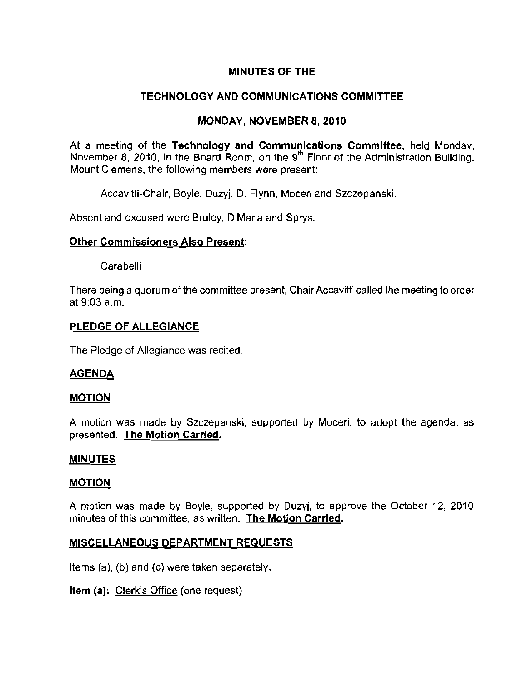## MINUTES OF THE

# TECHNOLOGY AND COMMUNICATIONS COMMITIEE

## MONDAY, NOVEMBER 8, 2010

At a meeting of the Technology and Communications Committee, held Monday, November 8, 2010, in the Board Room, on the 9<sup>th</sup> Floor of the Administration Building, **Mount Clemens, the following members were present:** 

Accavitti-Chair, Boyle. Duzyj, D. Flynn. Moceri and Szczepanski.

Absent and excused were Bruley, DiMaria and Sprys.

#### Other Commissioners Also Presenl:

Carabelli

There being a quorum of the committee present, Chair Accavitti called the meeting to order at 9:03 a.m.

## PLEDGE OF ALLEGIANCE

The Pledge of Allegiance was recited.

## AGENDA

## MOTION

A motion was made by Szczepanski, supported by Moceri, to adopt the agenda. as presented. The Motion Carried.

#### MINUTES

## MOTION

A motion was made by Boyle. supported by Duzyj, to approve the October 12, 2010 **minutes of this committee, as written. The Motion Carried.** 

## MISCELLANEOUS DEPARTMENT REQUESTS

Items (a). (b) and (c) were taken separately.

Item (a): Clerk's Office (one request)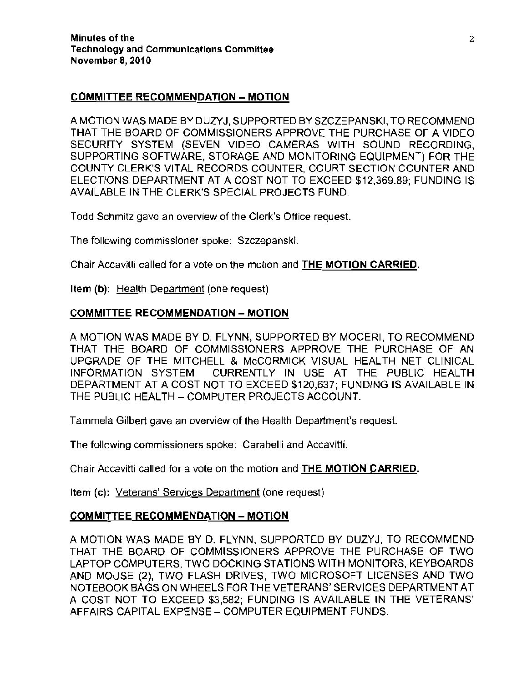#### **COMMITTEE RECOMMENOATION - MOTION**

A MOTION WAS MADE BY DUZYJ, SUPPORTED BY SZCZEPANSKI, TO RECOMMEND THAT THE BOARD OF COMMISSIONERS APPROVE THE PURCHASE OF A VIDEO SECURITY SYSTEM (SEVEN VIDEO CAMERAS WITH SOUND RECORDING, SUPPORTING SOFTWARE, STORAGE AND MONITORING EQUIPMENT) FOR THE COUNTY CLERK'S VITAL RECORDS COUNTER, COURT SECTION COUNTER AND ELECTIONS DEPARTMENT AT A COST NOT TO EXCEED \$12,369.89; FUNDING IS AVAILABLE IN THE CLERK'S SPECIAL PROJECTS FUND.

Todd Schmitz gave an overview of the Clerk's Office request.

**The following commissioner spoke: Szczepanski.** 

Chair Accavitti calied for a vote on the molion and **THE MOTION CARRIED.** 

**Item** (b): Health Department (one request)

## **COMMITTEE RECOMMENDATION - MOTION**

A MOTION WAS MADE BY D. FLYNN, SUPPORTED BY MOCERI, TO RECOMMEND THAT THE BOARD OF COMMISSIONERS APPROVE THE PURCHASE OF AN UPGRADE OF THE MITCHELL & McCORMICK VISUAL HEALTH NET CLINICAL INFORMATION SYSTEM CURRENTLY IN USE AT THE PUBLIC HEALTH DEPARTMENT AT A COST NOT TO EXCEED \$120,637; FUNDING IS AVAILABLE IN THE PUBLIC HEALTH - COMPUTER PROJECTS ACCOUNT.

Tammela Gilbert gave an overview of the Health Department's request.

**The following commissioners spoke: Carabelli and Accavitti.** 

Chair Accavitti called for a *vote* on the motion and **THE MOTION CARRIED.** 

Item (c): Veterans' Services Department (one request)

## **COMMITTEE RECOMMENDATION - MOTION**

A MOTION WAS MADE BY D. FLYNN, SUPPORTED BY DUZYJ, TO RECOMMEND THAT THE BOARD OF COMMISSIONERS APPROVE THE PURCHASE OF TWO LAPTOP COMPUTERS, TWO DOCKING STATIONS WITH MONITORS, KEYBOARDS AND MOUSE (2), TWO FLASH DRIVES, TWO MICROSOFT LICENSES AND TWO NOTEBOOK BAGS ON WHEELS FOR THE VETERANS' SERVICES DEPARTMENT AT A COST NOT TO EXCEED \$3,582; FUNDING IS AVAILABLE IN THE VETERANS' AFFAIRS CAPITAL EXPENSE - COMPUTER EQUIPMENT FUNDS.